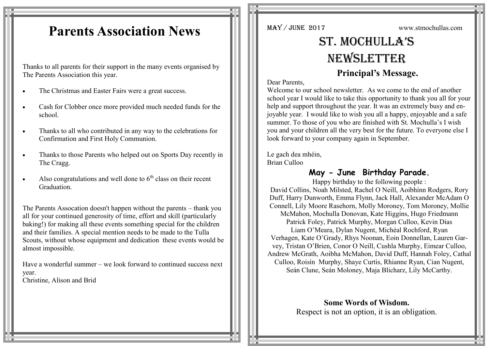## **Parents Association News**

Thanks to all parents for their support in the many events organised by The Parents Association this year.

- The Christmas and Easter Fairs were a great success.
- Cash for Clobber once more provided much needed funds for the school.
- Thanks to all who contributed in any way to the celebrations for Confirmation and First Holy Communion.
- Thanks to those Parents who helped out on Sports Day recently in The Cragg.
- Also congratulations and well done to  $6<sup>th</sup>$  class on their recent Graduation.

The Parents Assocation doesn't happen without the parents – thank you all for your continued generosity of time, effort and skill (particularly baking!) for making all these events something special for the children and their families. A special mention needs to be made to the Tulla Scouts, without whose equipment and dedication these events would be almost impossible.

Have a wonderful summer – we look forward to continued success next year. Christine, Alison and Brid

MAY / JUNE 2017 www.stmochullas.com

# St. Mochulla'S **NEWSLETTER**

### **Principal's Message.**

Dear Parents,

Welcome to our school newsletter. As we come to the end of another school year I would like to take this opportunity to thank you all for your help and support throughout the year. It was an extremely busy and enjoyable year. I would like to wish you all a happy, enjoyable and a safe summer. To those of you who are finished with St. Mochulla's I wish you and your children all the very best for the future. To everyone else I look forward to your company again in September.

Le gach dea mhéin, Brian Culloo

#### **May - June Birthday Parade.**

Happy birthday to the following people : David Collins, Noah Milsted, Rachel O Neill, Aoibhínn Rodgers, Rory Duff, Harry Dunworth, Emma Flynn, Jack Hall, Alexander McAdam O Connell, Lily Moore Rasehorn, Molly Moroney, Tom Moroney, Mollie McMahon, Mochulla Donovan, Kate Higgins, Hugo Friedmann Patrick Foley, Patrick Murphy, Morgan Culloo, Kevin Dias Liam O'Meara, Dylan Nugent, Michéal Rochford, Ryan Verhagen, Kate O'Grady, Rhys Noonan, Eoin Donnellan, Lauren Garvey, Tristan O'Brien, Conor O Neill, Cushla Murphy, Eimear Culloo, Andrew McGrath, Aoibha McMahon, David Duff, Hannah Foley, Cathal Culloo, Roisín Murphy, Shaye Curtis, Rhianne Ryan, Cian Nugent, Seán Clune, Seán Moloney, Maja Blicharz, Lily McCarthy.

> **Some Words of Wisdom.** Respect is not an option, it is an obligation.